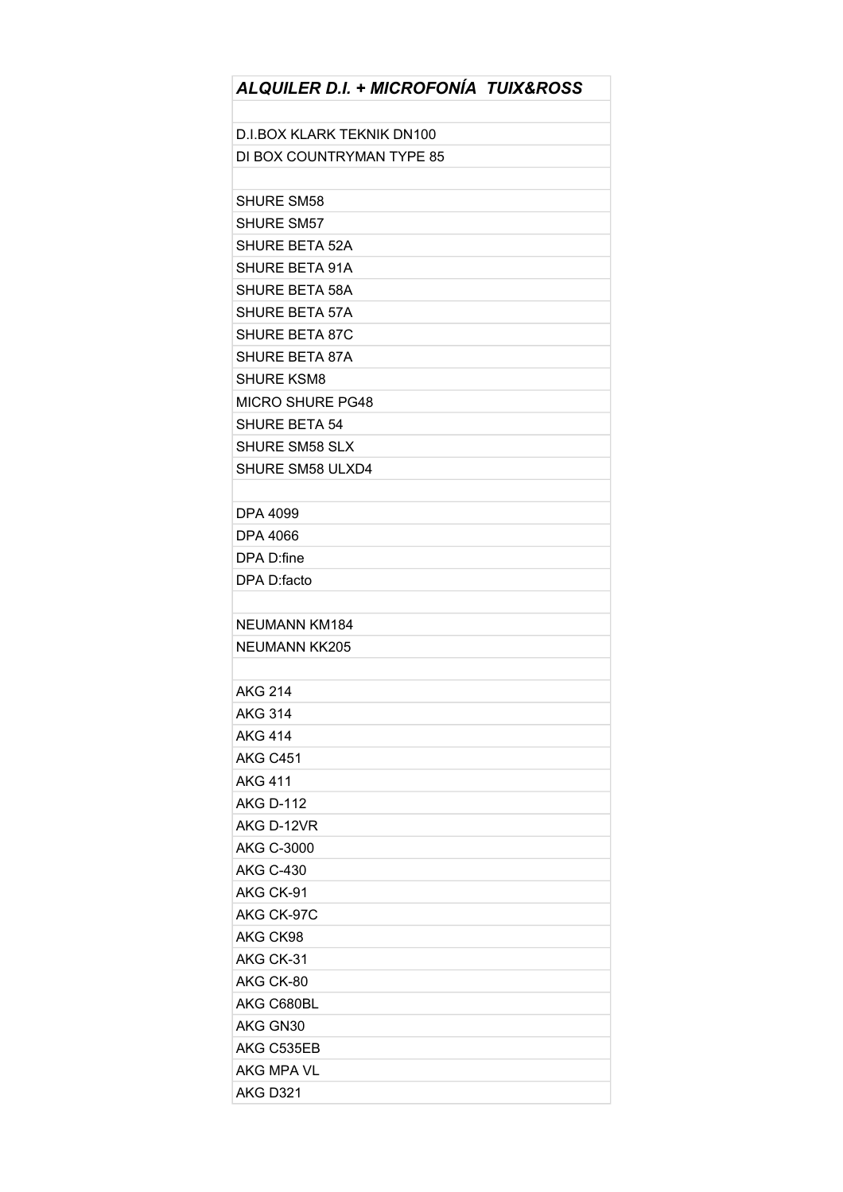| ALQUILER D.I. + MICROFONÍA TUIX&ROSS |
|--------------------------------------|
|                                      |
| <b>D.I.BOX KLARK TEKNIK DN100</b>    |
| DI BOX COUNTRYMAN TYPE 85            |
|                                      |
| <b>SHURE SM58</b>                    |
| <b>SHURE SM57</b>                    |
| SHURE BETA 52A                       |
| <b>SHURE BETA 91A</b>                |
| <b>SHURE BETA 58A</b>                |
| <b>SHURE BETA 57A</b>                |
| <b>SHURE BETA 87C</b>                |
| <b>SHURE BETA 87A</b>                |
| <b>SHURE KSM8</b>                    |
| <b>MICRO SHURE PG48</b>              |
| <b>SHURE BETA 54</b>                 |
| <b>SHURE SM58 SLX</b>                |
| <b>SHURE SM58 ULXD4</b>              |
|                                      |
| DPA 4099                             |
| DPA 4066                             |
| DPA D:fine                           |
| DPA D:facto                          |
|                                      |
| NEUMANN KM184                        |
| NEUMANN KK205                        |
|                                      |
| <b>AKG 214</b>                       |
| <b>AKG 314</b>                       |
| <b>AKG 414</b>                       |
| AKG C451                             |
| <b>AKG 411</b>                       |
| <b>AKG D-112</b>                     |
| AKG D-12VR                           |
| <b>AKG C-3000</b>                    |
| <b>AKG C-430</b>                     |
| AKG CK-91                            |
| AKG CK-97C                           |
| AKG CK98                             |
| AKG CK-31                            |
| AKG CK-80                            |
| AKG C680BL                           |
| AKG GN30                             |
| AKG C535EB                           |
| AKG MPA VL                           |
| <b>AKG D321</b>                      |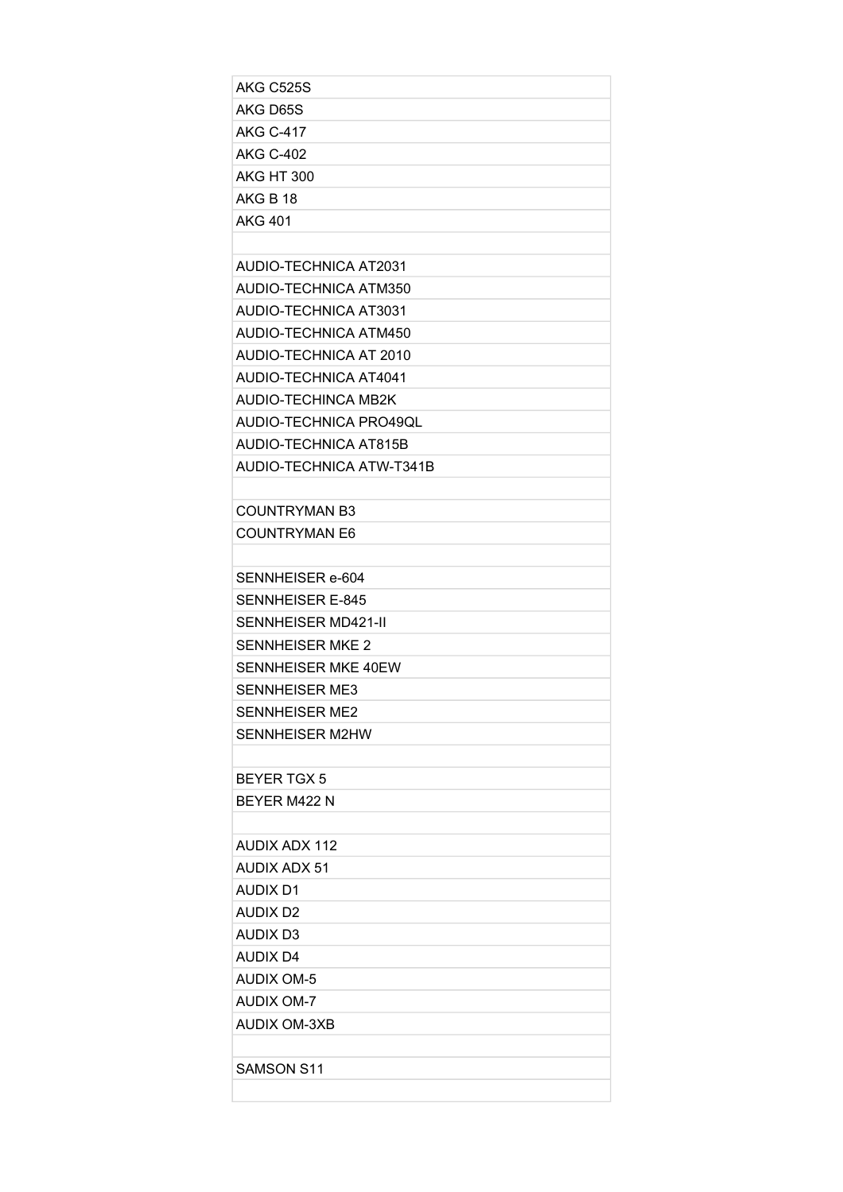| AKG C525S                    |
|------------------------------|
| AKG D65S                     |
| AKG C-417                    |
| AKG C-402                    |
| AKG HT 300                   |
| AKG B 18                     |
| AKG 401                      |
|                              |
| AUDIO-TECHNICA AT2031        |
| AUDIO-TECHNICA ATM350        |
| AUDIO-TECHNICA AT3031        |
| AUDIO-TECHNICA ATM450        |
| AUDIO-TECHNICA AT 2010       |
| <b>AUDIO-TECHNICA AT4041</b> |
| AUDIO-TECHINCA MB2K          |
| AUDIO-TECHNICA PRO49QL       |
| AUDIO-TECHNICA AT815B        |
| AUDIO-TECHNICA ATW-T341B     |
|                              |
| <b>COUNTRYMAN B3</b>         |
| <b>COUNTRYMAN E6</b>         |
|                              |
| SENNHEISER e-604             |
| SENNHEISER E-845             |
| SENNHEISER MD421-II          |
| <b>SENNHEISER MKE 2</b>      |
| SENNHEISER MKE 40EW          |
| SENNHEISER ME3               |
| SENNHEISER ME2               |
| SENNHEISER M2HW              |
|                              |
| <b>BEYER TGX 5</b>           |
| BEYER M422 N                 |
|                              |
| AUDIX ADX 112                |
| <b>AUDIX ADX 51</b>          |
| <b>AUDIX D1</b>              |
| AUDIX D2                     |
| <b>AUDIX D3</b>              |
| AUDIX D4                     |
| AUDIX OM-5                   |
| AUDIX OM-7                   |
| AUDIX OM-3XB                 |
|                              |
| <b>SAMSON S11</b>            |
|                              |